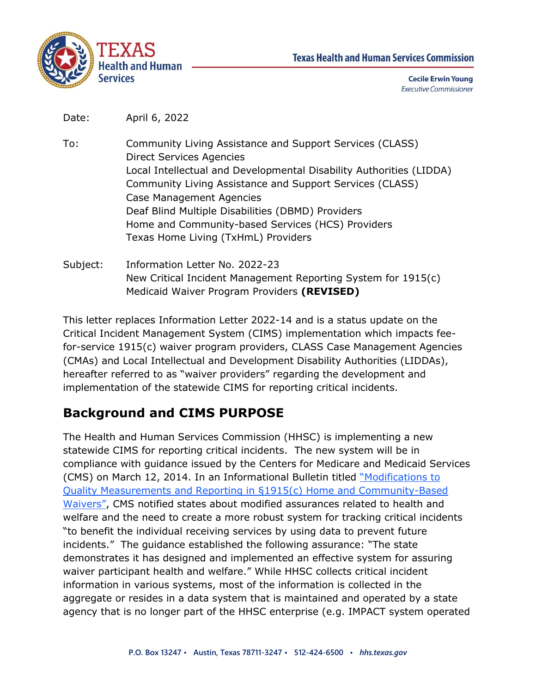



**Cecile Erwin Young Executive Commissioner** 

Date: April 6, 2022

- To: Community Living Assistance and Support Services (CLASS) Direct Services Agencies Local Intellectual and Developmental Disability Authorities (LIDDA) Community Living Assistance and Support Services (CLASS) Case Management Agencies Deaf Blind Multiple Disabilities (DBMD) Providers Home and Community-based Services (HCS) Providers Texas Home Living (TxHmL) Providers
- Subject: Information Letter No. 2022-23 New Critical Incident Management Reporting System for 1915(c) Medicaid Waiver Program Providers **(REVISED)**

This letter replaces Information Letter 2022-14 and is a status update on the Critical Incident Management System (CIMS) implementation which impacts feefor-service 1915(c) waiver program providers, CLASS Case Management Agencies (CMAs) and Local Intellectual and Development Disability Authorities (LIDDAs), hereafter referred to as "waiver providers" regarding the development and implementation of the statewide CIMS for reporting critical incidents.

## **Background and CIMS PURPOSE**

The Health and Human Services Commission (HHSC) is implementing a new statewide CIMS for reporting critical incidents. The new system will be in compliance with guidance issued by the Centers for Medicare and Medicaid Services (CMS) on March 12, 2014. In an Informational Bulletin titled ["](https://www.hhs.gov/guidance/document/modifications-quality-measures-and-reporting-ss1915c-home-and-community-based-waivers)[Modifications to](https://www.hhs.gov/guidance/document/modifications-quality-measures-and-reporting-ss1915c-home-and-community-based-waivers)  [Quality Measurements and Reporting](https://www.hhs.gov/guidance/document/modifications-quality-measures-and-reporting-ss1915c-home-and-community-based-waivers) [in §1915\(c\) Home and Community-Based](https://www.hhs.gov/guidance/document/modifications-quality-measures-and-reporting-ss1915c-home-and-community-based-waivers)  [Waivers](https://www.hhs.gov/guidance/document/modifications-quality-measures-and-reporting-ss1915c-home-and-community-based-waivers)["](https://www.hhs.gov/guidance/document/modifications-quality-measures-and-reporting-ss1915c-home-and-community-based-waivers), CMS notified states about modified assurances related to health and welfare and the need to create a more robust system for tracking critical incidents "to benefit the individual receiving services by using data to prevent future incidents." The guidance established the following assurance: "The state demonstrates it has designed and implemented an effective system for assuring waiver participant health and welfare." While HHSC collects critical incident information in various systems, most of the information is collected in the aggregate or resides in a data system that is maintained and operated by a state agency that is no longer part of the HHSC enterprise (e.g. IMPACT system operated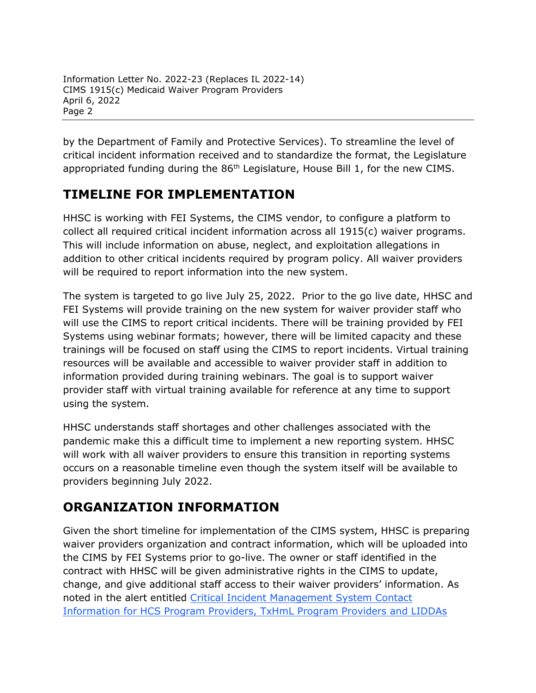by the Department of Family and Protective Services). To streamline the level of critical incident information received and to standardize the format, the Legislature appropriated funding during the 86<sup>th</sup> Legislature, House Bill 1, for the new CIMS.

## **TIMELINE FOR IMPLEMENTATION**

HHSC is working with FEI Systems, the CIMS vendor, to configure a platform to collect all required critical incident information across all 1915(c) waiver programs. This will include information on abuse, neglect, and exploitation allegations in addition to other critical incidents required by program policy. All waiver providers will be required to report information into the new system.

The system is targeted to go live July 25, 2022. Prior to the go live date, HHSC and FEI Systems will provide training on the new system for waiver provider staff who will use the CIMS to report critical incidents. There will be training provided by FEI Systems using webinar formats; however, there will be limited capacity and these trainings will be focused on staff using the CIMS to report incidents. Virtual training resources will be available and accessible to waiver provider staff in addition to information provided during training webinars. The goal is to support waiver provider staff with virtual training available for reference at any time to support using the system.

HHSC understands staff shortages and other challenges associated with the pandemic make this a difficult time to implement a new reporting system. HHSC will work with all waiver providers to ensure this transition in reporting systems occurs on a reasonable timeline even though the system itself will be available to providers beginning July 2022.

## **ORGANIZATION INFORMATION**

Given the short timeline for implementation of the CIMS system, HHSC is preparing waiver providers organization and contract information, which will be uploaded into the CIMS by FEI Systems prior to go-live. The owner or staff identified in the contract with HHSC will be given administrative rights in the CIMS to update, change, and give additional staff access to their waiver providers' information. As noted in the alert entitled [Critical Incident Management System Contact](https://www.hhs.texas.gov/provider-news/2022/03/30/critical-incident-management-system-contact-information-hcs-program-providers-txhml-program)  [Information for HCS Program Providers, TxHmL Program Providers and LIDDAs](https://www.hhs.texas.gov/provider-news/2022/03/30/critical-incident-management-system-contact-information-hcs-program-providers-txhml-program)